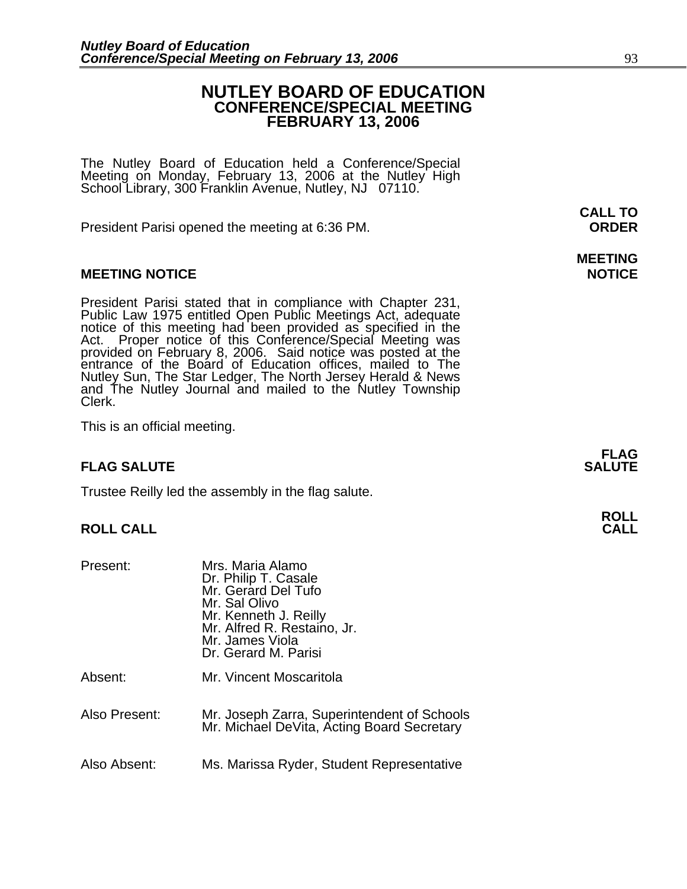### **NUTLEY BOARD OF EDUCATION CONFERENCE/SPECIAL MEETING FEBRUARY 13, 2006**

The Nutley Board of Education held a Conference/Special Meeting on Monday, February 13, 2006 at the Nutley High School Library, 300 Franklin Avenue, Nutley, NJ 07110.

President Parisi opened the meeting at 6:36 PM. **ORDER**

#### **MEETING NOTICE NOTICE REPORTS AND ALCOHOL**

President Parisi stated that in compliance with Chapter 231, Public Law 1975 entitled Open Public Meetings Act, adequate notice of this meeting had been provided as specified in the Act. Proper notice of this Conference/Sp entrance of the Board of Education offices, mailed to The Nutley Sun, The Star Ledger, The North Jersey Herald & News and The Nutley Journal and mailed to the Nutley Township Clerk.

This is an official meeting.

#### **FLAG SALUTE SALUTE SALUTE**

Trustee Reilly led the assembly in the flag salute.

#### **ROLL CALL**

| Present:      | Mrs. Maria Alamo<br>Dr. Philip T. Casale<br>Mr. Gerard Del Tufo<br>Mr. Sal Olivo<br>Mr. Kenneth J. Reilly<br>Mr. Alfred R. Restaino, Jr.<br>Mr. James Viola<br>Dr. Gerard M. Parisi |
|---------------|-------------------------------------------------------------------------------------------------------------------------------------------------------------------------------------|
| Absent:       | Mr. Vincent Moscaritola                                                                                                                                                             |
| Also Present: | Mr. Joseph Zarra, Superintendent of Schools<br>Mr. Michael DeVita, Acting Board Secretary                                                                                           |
| Also Absent:  | Ms. Marissa Ryder, Student Representative                                                                                                                                           |

**CALL TO** 

# **MEETING**

**FLAG**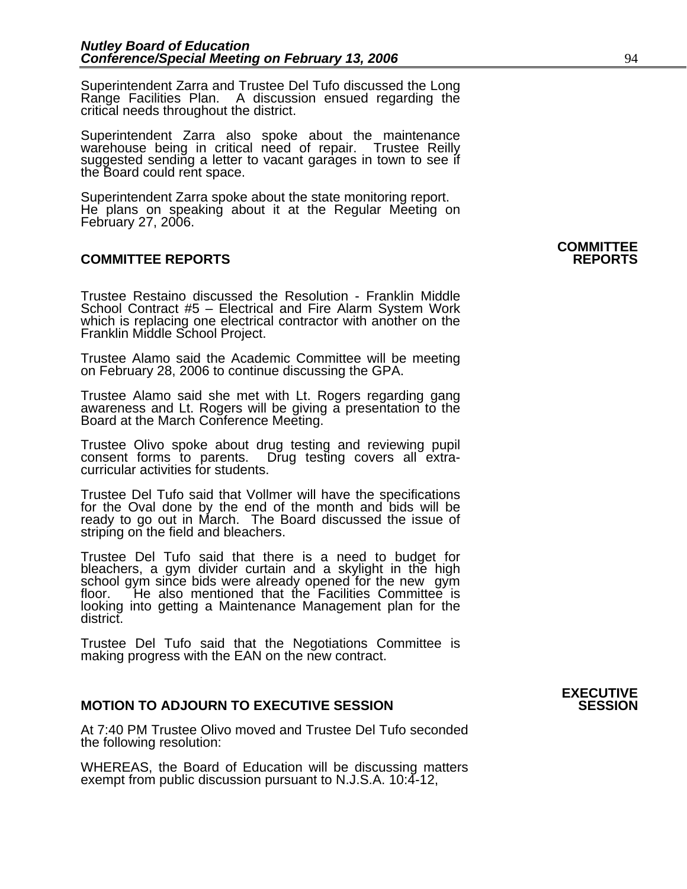Superintendent Zarra and Trustee Del Tufo discussed the Long Range Facilities Plan. A discussion ensued regarding the critical needs throughout the district.

Superintendent Zarra also spoke about the maintenance warehouse being in critical need of repair. Trustee Reilly suggested sending a letter to vacant garages in town to see if the Board could rent space.

Superintendent Zarra spoke about the state monitoring report. He plans on speaking about it at the Regular Meeting on February 27, 2006.

#### **COMMITTEE REPORTS REPORTS**

Trustee Restaino discussed the Resolution - Franklin Middle School Contract #5 – Electrical and Fire Alarm System Work which is replacing one electrical contractor with another on the Franklin Middle School Project.

Trustee Alamo said the Academic Committee will be meeting on February 28, 2006 to continue discussing the GPA.

Trustee Alamo said she met with Lt. Rogers regarding gang awareness and Lt. Rogers will be giving a presentation to the Board at the March Conference Meeting.

Trustee Olivo spoke about drug testing and reviewing pupil consent forms to parents. Drug testing covers all extracurricular activities for students.

Trustee Del Tufo said that Vollmer will have the specifications for the Oval done by the end of the month and bids will be ready to go out in March. The Board discussed the issue of striping on the field and bleachers.

Trustee Del Tufo said that there is a need to budget for bleachers, a gym divider curtain and a skylight in the high school gym since bids were already opened for the new gym floor. <sup>He</sup> also mentioned that the Facilities Committee is looking into getting a Maintenance Management plan for the district.

Trustee Del Tufo said that the Negotiations Committee is making progress with the EAN on the new contract.

#### **MOTION TO ADJOURN TO EXECUTIVE SESSION**

At 7:40 PM Trustee Olivo moved and Trustee Del Tufo seconded the following resolution:

WHEREAS, the Board of Education will be discussing matters exempt from public discussion pursuant to N.J.S.A. 10:4-12,

## **COMMITTEE**

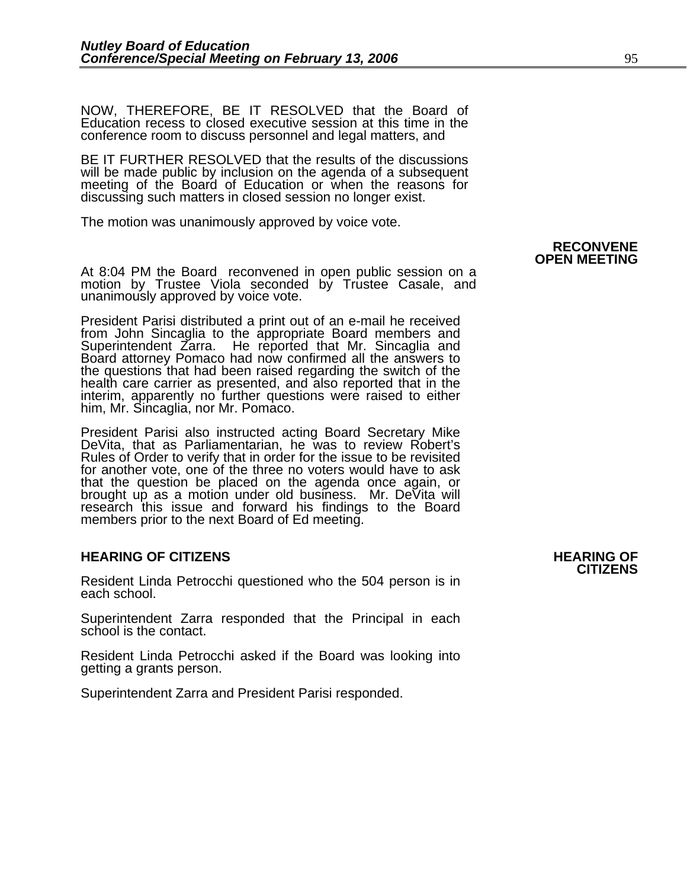NOW, THEREFORE, BE IT RESOLVED that the Board of Education recess to closed executive session at this time in the conference room to discuss personnel and legal matters, and

BE IT FURTHER RESOLVED that the results of the discussions will be made public by inclusion on the agenda of a subsequent meeting of the Board of Education or when the reasons for discussing such matters in closed session no longer exist. 

The motion was unanimously approved by voice vote.

At 8:04 PM the Board reconvened in open public session on a motion by Trustee Viola seconded by Trustee Casale, and unanimously approved by voice vote.

President Parisi distributed a print out of an e-mail he received Superintendent Zarra. He reported that Mr. Sincaglia and Board attorney Pomaco had now confirmed all the answers to the questions that had been raised regarding the switch of the health care carrier as presented, and also reported that in the interim, apparently no further questions were raised to either him, Mr. Sincaglia, nor Mr. Pomaco.

President Parisi also instructed acting Board Secretary Mike DeVita, that as Parliamentarian, he was to review Robert's Rules of Order to verify that in order for the issue to be revisited for another vote, one of the three no voters would have to ask that the question be placed on the agenda once again, or brought up as a motion under old business. Mr. DeVita will research this issue and forward his findings to the Board members prior to the next Board of Ed meeting.

#### **HEARING OF CITIZENS AND REARING OF STATES**

Resident Linda Petrocchi questioned who the 504 person is in each school.

Superintendent Zarra responded that the Principal in each school is the contact.

Resident Linda Petrocchi asked if the Board was looking into getting a grants person.

Superintendent Zarra and President Parisi responded.

## **RECONVENE OPEN MEETING**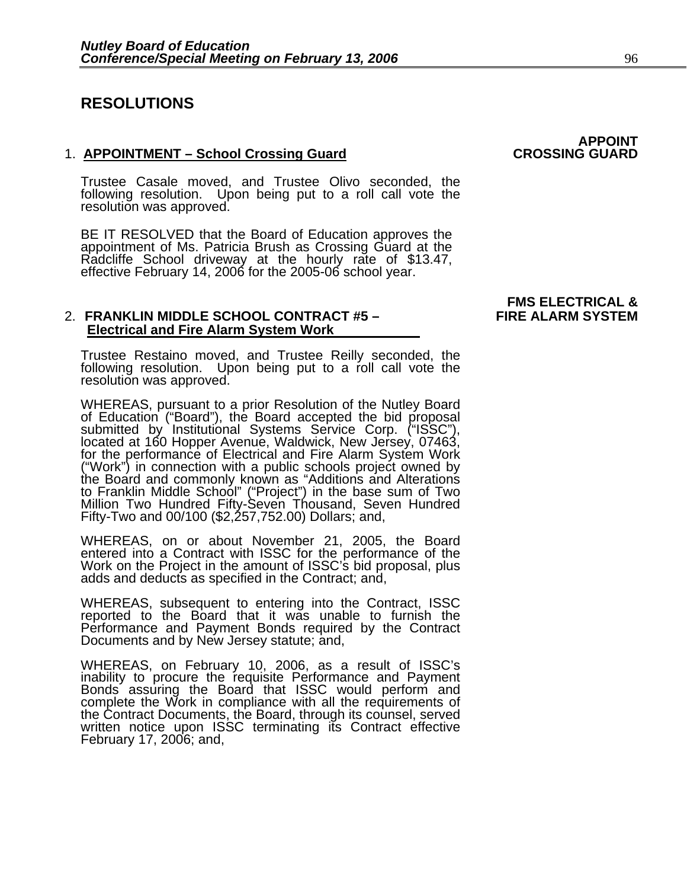### **RESOLUTIONS**

#### 1. **APPOINTMENT – School Crossing Guard**

Trustee Casale moved, and Trustee Olivo seconded, the following resolution. Upon being put to a roll call vote the resolution was approved.

BE IT RESOLVED that the Board of Education approves the<br>appointment of Ms. Patricia Brush as Crossing Guard at the<br>Radcliffe School driveway at the hourly rate of \$13.47, effective February 14, 2006 for the 2005-06 school year.

#### 2. FRANKLIN MIDDLE SCHOOL CONTRACT #5 - **Electrical and Fire Alarm System Work**

Trustee Restaino moved, and Trustee Reilly seconded, the following resolution. Upon being put to a roll call vote the resolution was approved.

WHEREAS, pursuant to a prior Resolution of the Nutley Board of Education ("Board"), the Board accepted the bid proposal submitted by Institutional Systems Service Corp. ("ISSC"), located at 160 Hopper Avenue, Waldwick, New Jersey, 07463, for the performance of Electrical and Fire Alarm System Work<br>("Work") in connection with a public schools project owned by<br>the Board and commonly known as "Additions and Alterations to Franklin Middle School" ("Project") in the base sum of Two<br>Million Two Hundred Fifty-Seven Thousand, Seven Hundred Fifty-Two and 00/100 (\$2,257,752.00) Dollars; and,

WHEREAS, on or about November 21, 2005, the Board entered into a Contract with ISSC for the performance of the Work on the Project in the amount of ISSC's bid proposal, plus adds and deducts as specified in the Contract; and,

WHEREAS, subsequent to entering into the Contract, ISSC reported to the Board that it was unable to furnish the Performance and Payment Bonds required by the Contract Documents and by New Jersey statute; and,

WHEREAS, on February 10, 2006, as a result of ISSC's inability to procure the requisite Performance and Payment<br>Bonds assuring the Board that ISSC would perform and<br>complete the Work in compliance with all the requirements of<br>the Contract Documents, the Board, through its co the Contract Documents, the Board, through its counsel, served<br>written notice upon ISSC terminating its Contract effective<br>February 17, 2006; and,

# **FMS ELECTRICAL &**

**APPOINT<br>CROSSING GUARD**